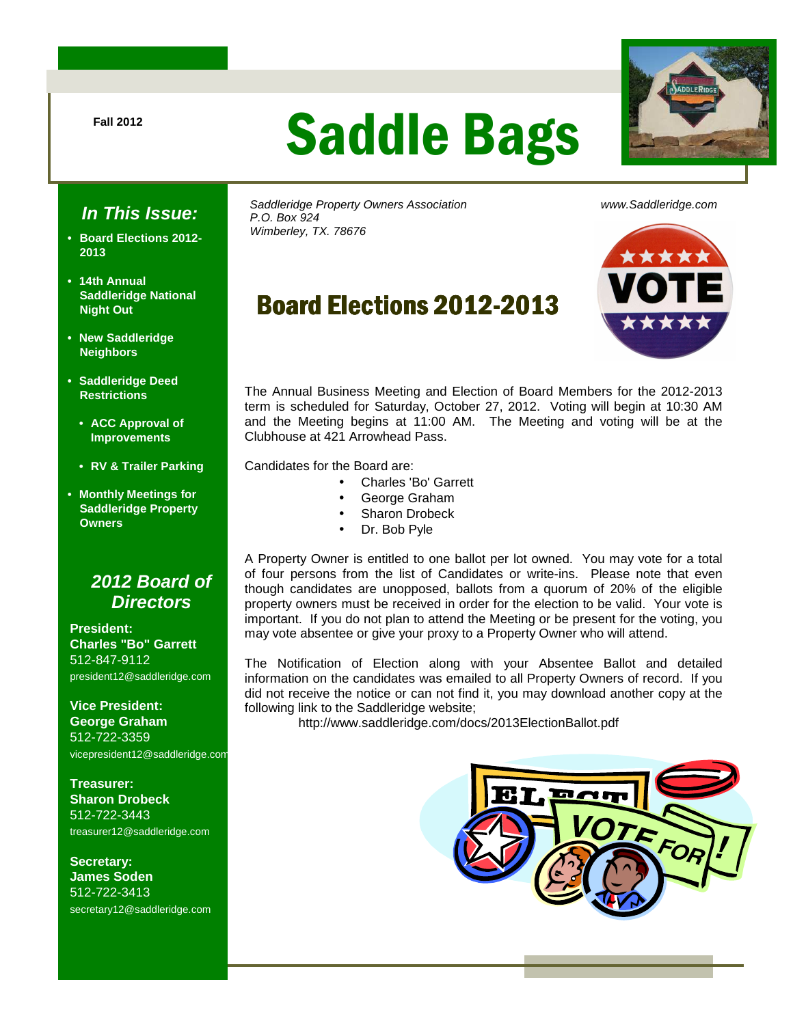# Fall 2012 **Saddle Bags**



## **In This Issue:**

- **Board Elections 2012- 2013**
- **14th Annual Saddleridge National Night Out**
- **New Saddleridge Neighbors**
- **Saddleridge Deed Restrictions** 
	- **ACC Approval of Improvements**
	- **RV & Trailer Parking**
- **Monthly Meetings for Saddleridge Property Owners**

### **2012 Board of Directors**

**President: Charles "Bo" Garrett**  512-847-9112 president12@saddleridge.com

**Vice President: George Graham** 512-722-3359 vicepresident12@saddleridge.com

**Treasurer: Sharon Drobeck** 512-722-3443 treasurer12@saddleridge.com

**Secretary: James Soden** 512-722-3413 secretary12@saddleridge.com Saddleridge Property Owners Association www.Saddleridge.com P.O. Box 924 Wimberley, TX. 78676

# Board Elections 2012-2013



The Annual Business Meeting and Election of Board Members for the 2012-2013 term is scheduled for Saturday, October 27, 2012. Voting will begin at 10:30 AM and the Meeting begins at 11:00 AM. The Meeting and voting will be at the Clubhouse at 421 Arrowhead Pass.

Candidates for the Board are:

- Charles 'Bo' Garrett
- George Graham
- Sharon Drobeck
- Dr. Bob Pyle

A Property Owner is entitled to one ballot per lot owned. You may vote for a total of four persons from the list of Candidates or write-ins. Please note that even though candidates are unopposed, ballots from a quorum of 20% of the eligible property owners must be received in order for the election to be valid. Your vote is important. If you do not plan to attend the Meeting or be present for the voting, you may vote absentee or give your proxy to a Property Owner who will attend.

The Notification of Election along with your Absentee Ballot and detailed information on the candidates was emailed to all Property Owners of record. If you did not receive the notice or can not find it, you may download another copy at the following link to the Saddleridge website;

http://www.saddleridge.com/docs/2013ElectionBallot.pdf

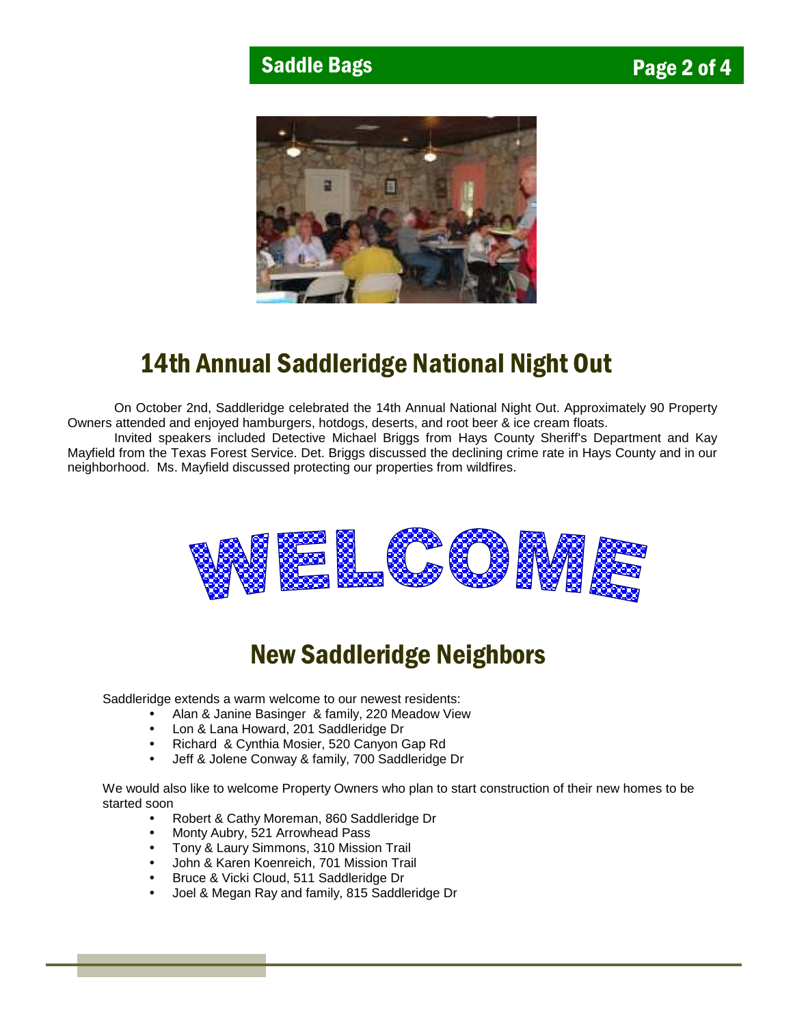

## 14th Annual Saddleridge National Night Out

 On October 2nd, Saddleridge celebrated the 14th Annual National Night Out. Approximately 90 Property Owners attended and enjoyed hamburgers, hotdogs, deserts, and root beer & ice cream floats.

 Invited speakers included Detective Michael Briggs from Hays County Sheriff's Department and Kay Mayfield from the Texas Forest Service. Det. Briggs discussed the declining crime rate in Hays County and in our neighborhood. Ms. Mayfield discussed protecting our properties from wildfires.



## New Saddleridge Neighbors

Saddleridge extends a warm welcome to our newest residents:

- Alan & Janine Basinger & family, 220 Meadow View
- Lon & Lana Howard, 201 Saddleridge Dr
- Richard & Cynthia Mosier, 520 Canyon Gap Rd
- Jeff & Jolene Conway & family, 700 Saddleridge Dr

We would also like to welcome Property Owners who plan to start construction of their new homes to be started soon

- Robert & Cathy Moreman, 860 Saddleridge Dr
- Monty Aubry, 521 Arrowhead Pass
- Tony & Laury Simmons, 310 Mission Trail
- John & Karen Koenreich, 701 Mission Trail
- Bruce & Vicki Cloud, 511 Saddleridge Dr
- Joel & Megan Ray and family, 815 Saddleridge Dr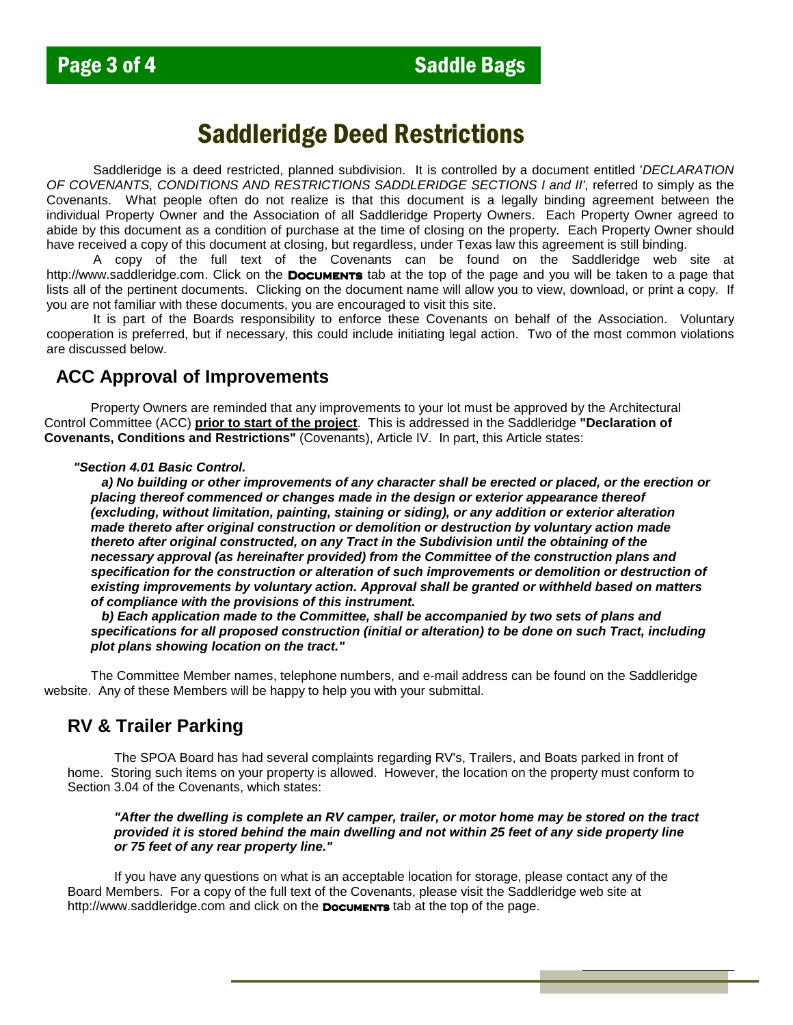## Saddleridge Deed Restrictions

Saddleridge is a deed restricted, planned subdivision. It is controlled by a document entitled 'DECLARATION OF COVENANTS, CONDITIONS AND RESTRICTIONS SADDLERIDGE SECTIONS I and II', referred to simply as the Covenants. What people often do not realize is that this document is a legally binding agreement between the individual Property Owner and the Association of all Saddleridge Property Owners. Each Property Owner agreed to abide by this document as a condition of purchase at the time of closing on the property. Each Property Owner should have received a copy of this document at closing, but regardless, under Texas law this agreement is still binding.

A copy of the full text of the Covenants can be found on the Saddleridge web site at http://www.saddleridge.com. Click on the **Documents** tab at the top of the page and you will be taken to a page that lists all of the pertinent documents. Clicking on the document name will allow you to view, download, or print a copy. If you are not familiar with these documents, you are encouraged to visit this site.

It is part of the Boards responsibility to enforce these Covenants on behalf of the Association. Voluntary cooperation is preferred, but if necessary, this could include initiating legal action. Two of the most common violations are discussed below.

#### **ACC Approval of Improvements**

 Property Owners are reminded that any improvements to your lot must be approved by the Architectural Control Committee (ACC) **prior to start of the project**. This is addressed in the Saddleridge **"Declaration of Covenants, Conditions and Restrictions"** (Covenants), Article IV. In part, this Article states:

#### **"Section 4.01 Basic Control.**

 **a) No building or other improvements of any character shall be erected or placed, or the erection or placing thereof commenced or changes made in the design or exterior appearance thereof (excluding, without limitation, painting, staining or siding), or any addition or exterior alteration made thereto after original construction or demolition or destruction by voluntary action made thereto after original constructed, on any Tract in the Subdivision until the obtaining of the necessary approval (as hereinafter provided) from the Committee of the construction plans and specification for the construction or alteration of such improvements or demolition or destruction of existing improvements by voluntary action. Approval shall be granted or withheld based on matters of compliance with the provisions of this instrument.** 

 **b) Each application made to the Committee, shall be accompanied by two sets of plans and specifications for all proposed construction (initial or alteration) to be done on such Tract, including plot plans showing location on the tract."** 

 The Committee Member names, telephone numbers, and e-mail address can be found on the Saddleridge website. Any of these Members will be happy to help you with your submittal.

### **RV & Trailer Parking**

 The SPOA Board has had several complaints regarding RV's, Trailers, and Boats parked in front of home. Storing such items on your property is allowed. However, the location on the property must conform to Section 3.04 of the Covenants, which states:

#### **"After the dwelling is complete an RV camper, trailer, or motor home may be stored on the tract provided it is stored behind the main dwelling and not within 25 feet of any side property line or 75 feet of any rear property line."**

 If you have any questions on what is an acceptable location for storage, please contact any of the Board Members. For a copy of the full text of the Covenants, please visit the Saddleridge web site at http://www.saddleridge.com and click on the **Documents** tab at the top of the page.